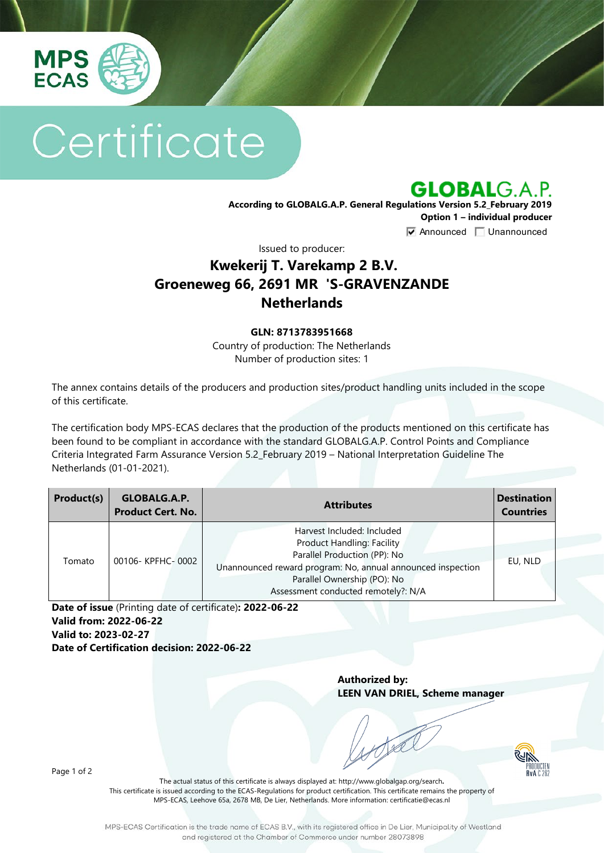

# Certificate

**GLOBALG.A.P.** 

**According to GLOBALG.A.P. General Regulations Version 5.2\_February 2019 Option 1 – individual producer**  $\nabla$  Announced  $\nabla$  Unannounced

Issued to producer:

## **Kwekerij T. Varekamp 2 B.V. Groeneweg 66, 2691 MR 'S-GRAVENZANDE Netherlands**

#### **GLN: 8713783951668**

Country of production: The Netherlands Number of production sites: 1

The annex contains details of the producers and production sites/product handling units included in the scope of this certificate.

The certification body MPS-ECAS declares that the production of the products mentioned on this certificate has been found to be compliant in accordance with the standard GLOBALG.A.P. Control Points and Compliance Criteria Integrated Farm Assurance Version 5.2\_February 2019 – National Interpretation Guideline The Netherlands (01-01-2021).

| Product(s) | GLOBALG.A.P.<br><b>Product Cert. No.</b> | <b>Attributes</b>                                                                                                                                                                                                                    | <b>Destination</b><br><b>Countries</b> |
|------------|------------------------------------------|--------------------------------------------------------------------------------------------------------------------------------------------------------------------------------------------------------------------------------------|----------------------------------------|
| Tomato     | 00106-KPFHC-0002                         | Harvest Included: Included<br><b>Product Handling: Facility</b><br>Parallel Production (PP): No<br>Unannounced reward program: No, annual announced inspection<br>Parallel Ownership (PO): No<br>Assessment conducted remotely?: N/A | EU, NLD                                |

**Date of issue** (Printing date of certificate)**: 2022-06-22 Valid from: 2022-06-22 Valid to: 2023-02-27 Date of Certification decision: 2022-06-22**

> **Authorized by: LEEN VAN DRIEL, Scheme manager**



Page 1 of 2

The actual status of this certificate is always displayed at: <http://www.globalgap.org/search>**.**  This certificate is issued according to the ECAS-Regulations for product certification. This certificate remains the property of MPS-ECAS, Leehove 65a, 2678 MB, De Lier, Netherlands. More information[: certificatie@ecas.nl](mailto:certificatie@ecas.nl)